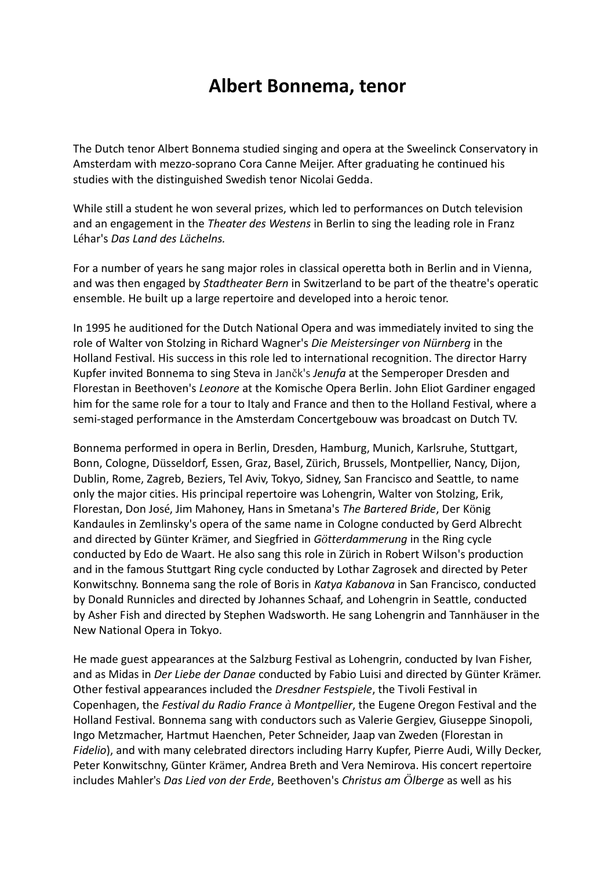## **Albert Bonnema, tenor**

The Dutch tenor Albert Bonnema studied singing and opera at the Sweelinck Conservatory in Amsterdam with mezzo-soprano Cora Canne Meijer. After graduating he continued his studies with the distinguished Swedish tenor Nicolai Gedda.

While still a student he won several prizes, which led to performances on Dutch television and an engagement in the *Theater des Westens* in Berlin to sing the leading role in Franz Léhar's *Das Land des Lächelns.*

For a number of years he sang major roles in classical operetta both in Berlin and in Vienna, and was then engaged by *Stadtheater Bern* in Switzerland to be part of the theatre's operatic ensemble. He built up a large repertoire and developed into a heroic tenor.

In 1995 he auditioned for the Dutch National Opera and was immediately invited to sing the role of Walter von Stolzing in Richard Wagner's *Die Meistersinger von Nürnberg* in the Holland Festival. His success in this role led to international recognition. The director Harry Kupfer invited Bonnema to sing Steva in Jančk's *Jenufa* at the Semperoper Dresden and Florestan in Beethoven's *Leonore* at the Komische Opera Berlin. John Eliot Gardiner engaged him for the same role for a tour to Italy and France and then to the Holland Festival, where a semi-staged performance in the Amsterdam Concertgebouw was broadcast on Dutch TV.

Bonnema performed in opera in Berlin, Dresden, Hamburg, Munich, Karlsruhe, Stuttgart, Bonn, Cologne, Düsseldorf, Essen, Graz, Basel, Zürich, Brussels, Montpellier, Nancy, Dijon, Dublin, Rome, Zagreb, Beziers, Tel Aviv, Tokyo, Sidney, San Francisco and Seattle, to name only the major cities. His principal repertoire was Lohengrin, Walter von Stolzing, Erik, Florestan, Don José, Jim Mahoney, Hans in Smetana's *The Bartered Bride*, Der König Kandaules in Zemlinsky's opera of the same name in Cologne conducted by Gerd Albrecht and directed by Günter Krämer, and Siegfried in *Götterdammerung* in the Ring cycle conducted by Edo de Waart. He also sang this role in Zürich in Robert Wilson's production and in the famous Stuttgart Ring cycle conducted by Lothar Zagrosek and directed by Peter Konwitschny. Bonnema sang the role of Boris in *Katya Kabanova* in San Francisco, conducted by Donald Runnicles and directed by Johannes Schaaf, and Lohengrin in Seattle, conducted by Asher Fish and directed by Stephen Wadsworth. He sang Lohengrin and Tannhäuser in the New National Opera in Tokyo.

He made guest appearances at the Salzburg Festival as Lohengrin, conducted by Ivan Fisher, and as Midas in *Der Liebe der Danae* conducted by Fabio Luisi and directed by Günter Krämer. Other festival appearances included the *Dresdner Festspiele*, the Tivoli Festival in Copenhagen, the *Festival du Radio France à Montpellier*, the Eugene Oregon Festival and the Holland Festival. Bonnema sang with conductors such as Valerie Gergiev, Giuseppe Sinopoli, Ingo Metzmacher, Hartmut Haenchen, Peter Schneider, Jaap van Zweden (Florestan in *Fidelio*), and with many celebrated directors including Harry Kupfer, Pierre Audi, Willy Decker, Peter Konwitschny, Günter Krämer, Andrea Breth and Vera Nemirova. His concert repertoire includes Mahler's *Das Lied von der Erde*, Beethoven's *Christus am Ölberge* as well as his